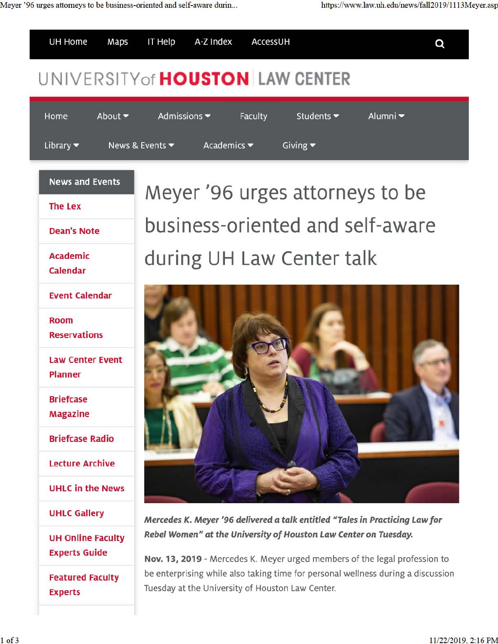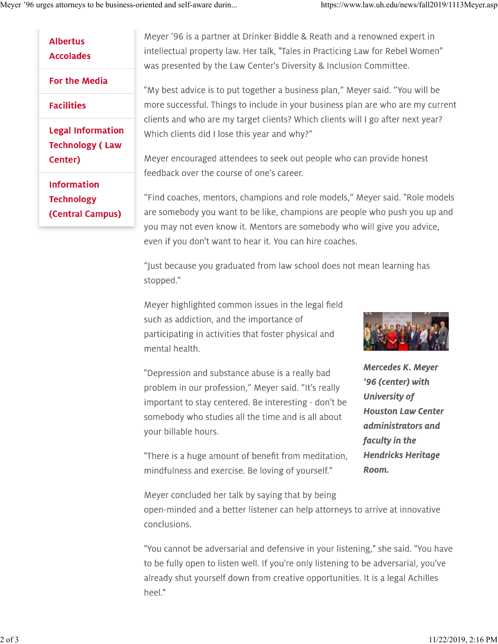| Albertus<br><b>Accolades</b> |
|------------------------------|
| For the Media                |
| Facilities                   |
| <b>Legal Information</b>     |
| <b>Technology (Law</b>       |
| Center)                      |
| Information                  |
| <b>Technology</b>            |
| (Central Campus)             |

Meyer '96 is a partner at Drinker Biddle & Reath and a renowned expert in intellectual property law. Her talk, "Tales in Practicing Law for Rebel Women" was presented by the Law Center's Diversity & Inclusion Committee.

"My best advice is to put together a business plan," Meyer said. "You will be more successful. Things to include in your business plan are who are my current clients and who are my target clients? Which clients will I go after next year? Which clients did I lose this year and why?"

Meyer encouraged attendees to seek out people who can provide honest feedback over the course of one's career.

"Find coaches, mentors, champions and role models," Meyer said. "Role models are somebody you want to be like, champions are people who push you up and you may not even know it. Mentors are somebody who will give you advice, even if you don't want to hear it. You can hire coaches.

"Just because you graduated from law school does not mean learning has stopped."

Meyer highlighted common issues in the legal field such as addiction, and the importance of participating in activities that foster physical and mental health.

"Depression and substance abuse is a really bad problem in our profession," Meyer said. "It's really important to stay centered. Be interesting - don't be somebody who studies all the time and is all about your billable hours.



**Mercedes K. Meyer '96 (center) with University of Houston Law Center administrators and faculty in the Hendricks Heritage Room.** 

"There is a huge amount of benefit from meditation, mindfulness and exercise. Be loving of yourself."

Meyer concluded her talk by saying that by being open-minded and a better listener can help attorneys to arrive at innovative conclusions.

"You cannot be adversarial and defensive in your listening," she said. "You have to be fully open to listen well. If you're only listening to be adversarial, you've already shut yourself down from creative opportunities. It is a legal Achilles heel."